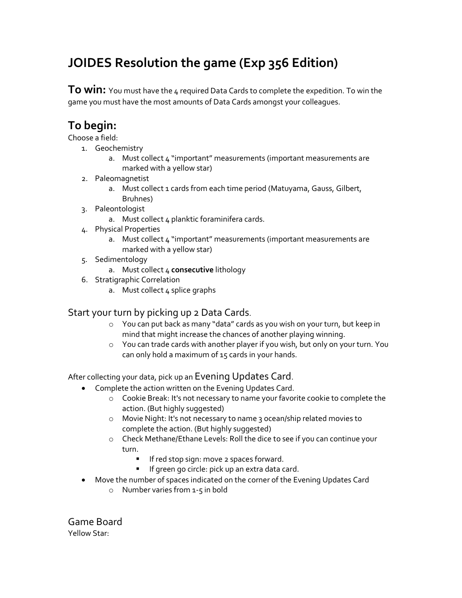## **JOIDES Resolution the game (Exp 356 Edition)**

To win: You must have the 4 required Data Cards to complete the expedition. To win the game you must have the most amounts of Data Cards amongst your colleagues.

## **To begin:**

Choose a field:

- 1. Geochemistry
	- a. Must collect 4 "important" measurements (important measurements are marked with a yellow star)
- 2. Paleomagnetist
	- a. Must collect 1 cards from each time period (Matuyama, Gauss, Gilbert, Bruhnes)
- 3. Paleontologist
	- a. Must collect 4 planktic foraminifera cards.
- 4. Physical Properties
	- a. Must collect 4 "important" measurements (important measurements are marked with a yellow star)
- 5. Sedimentology
	- a. Must collect 4 **consecutive** lithology
- 6. Stratigraphic Correlation
	- a. Must collect 4 splice graphs

## Start your turn by picking up 2 Data Cards.

- o You can put back as many "data" cards as you wish on your turn, but keep in mind that might increase the chances of another playing winning.
- o You can trade cards with another player if you wish, but only on your turn. You can only hold a maximum of 15 cards in your hands.

After collecting your data, pick up an Evening Updates Card.

- Complete the action written on the Evening Updates Card.
	- o Cookie Break: It's not necessary to name your favorite cookie to complete the action. (But highly suggested)
	- o Movie Night: It's not necessary to name 3 ocean/ship related movies to complete the action. (But highly suggested)
	- o Check Methane/Ethane Levels: Roll the dice to see if you can continue your turn.
		- **If red stop sign: move 2 spaces forward.**
		- **If green go circle: pick up an extra data card.**
- Move the number of spaces indicated on the corner of the Evening Updates Card
	- o Number varies from 1-5 in bold

Game Board Yellow Star: